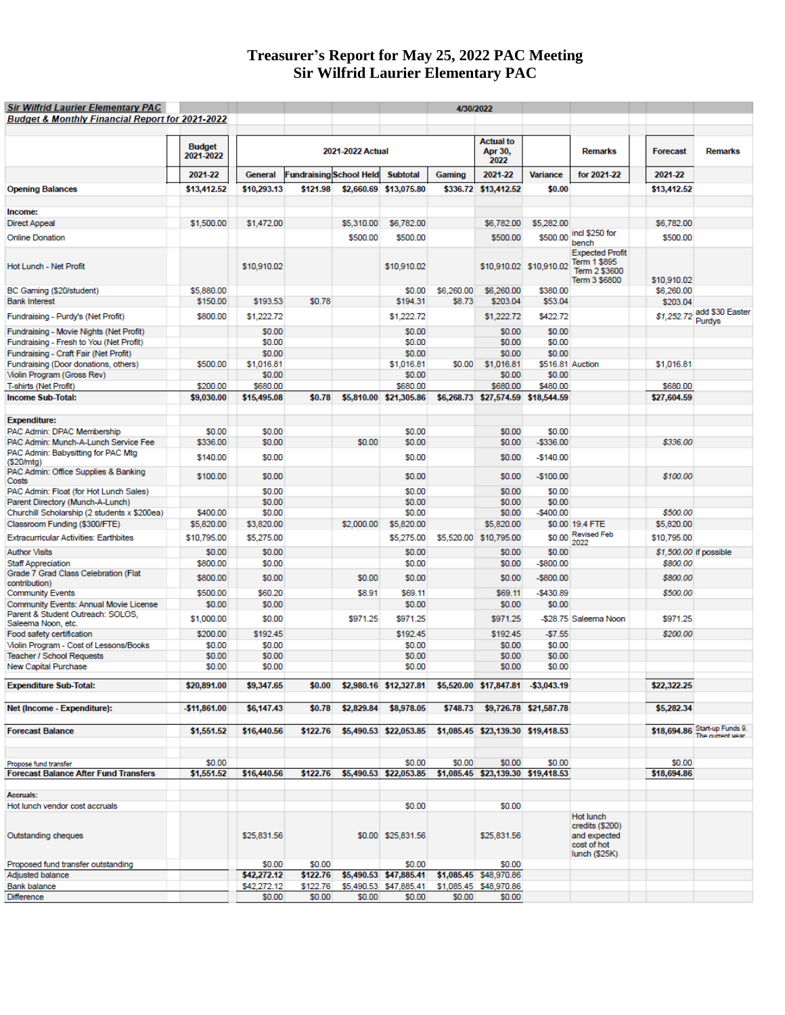#### **Treasurer's Report for May 25, 2022 PAC Meeting Sir Wilfrid Laurier Elementary PAC**

| <b>Sir Wilfrid Laurier Elementary PAC</b>                           |                            |                    |                                |                  |                                                           |            | 4/30/2022                           |                         |                                                                              |                        |                                                   |
|---------------------------------------------------------------------|----------------------------|--------------------|--------------------------------|------------------|-----------------------------------------------------------|------------|-------------------------------------|-------------------------|------------------------------------------------------------------------------|------------------------|---------------------------------------------------|
| <b>Budget &amp; Monthly Financial Report for 2021-2022</b>          |                            |                    |                                |                  |                                                           |            |                                     |                         |                                                                              |                        |                                                   |
|                                                                     | <b>Budget</b><br>2021-2022 |                    |                                | 2021-2022 Actual |                                                           |            | <b>Actual to</b><br>Apr 30,<br>2022 |                         | <b>Remarks</b>                                                               | <b>Forecast</b>        | <b>Remarks</b>                                    |
|                                                                     | 2021-22                    | General            | <b>Fundraising School Held</b> |                  | <b>Subtotal</b>                                           | Gaming     | 2021-22                             | <b>Variance</b>         | for 2021-22                                                                  | 2021-22                |                                                   |
| <b>Opening Balances</b>                                             | \$13,412.52                | \$10,293.13        | \$121.98                       |                  | \$2,660.69 \$13,075.80                                    | \$336.72   | \$13,412.52                         | \$0.00                  |                                                                              | \$13,412.52            |                                                   |
|                                                                     |                            |                    |                                |                  |                                                           |            |                                     |                         |                                                                              |                        |                                                   |
| Income:                                                             |                            |                    |                                |                  |                                                           |            |                                     |                         |                                                                              |                        |                                                   |
| Direct Appeal                                                       | \$1,500.00                 | \$1,472.00         |                                | \$5,310.00       | \$6,782.00                                                |            | \$6,782.00                          | \$5,282.00              |                                                                              | \$6,782.00             |                                                   |
| <b>Online Donation</b>                                              |                            |                    |                                | \$500.00         | \$500.00                                                  |            | \$500.00                            | \$500.00                | incl \$250 for<br>bench                                                      | \$500.00               |                                                   |
| Hot Lunch - Net Profit                                              |                            | \$10,910.02        |                                |                  | \$10,910.02                                               |            |                                     | \$10,910.02 \$10,910.02 | <b>Expected Profit</b><br>Term 1 \$895<br>Term 2 \$3600<br>Term 3 \$6800     | \$10,910.02            |                                                   |
| BC Gaming (\$20/student)                                            | \$5,880.00                 |                    |                                |                  | \$0.00                                                    | \$6,260.00 | \$6,260.00                          | \$380.00                |                                                                              | \$6,260.00             |                                                   |
| <b>Bank Interest</b>                                                | \$150.00                   | \$193.53           | \$0.78                         |                  | \$194.31                                                  | \$8.73     | \$203.04                            | \$53.04                 |                                                                              | \$203.04               |                                                   |
| Fundraising - Purdy's (Net Profit)                                  | \$800.00                   | \$1,222.72         |                                |                  | \$1,222.72                                                |            | \$1,222.72                          | \$422.72                |                                                                              |                        | \$1,252.72 add \$30 Easter<br>Purdys              |
| Fundraising - Movie Nights (Net Profit)                             |                            | \$0.00             |                                |                  | \$0.00                                                    |            | \$0.00                              | \$0.00                  |                                                                              |                        |                                                   |
| Fundraising - Fresh to You (Net Profit)                             |                            | \$0.00             |                                |                  | \$0.00                                                    |            | \$0.00                              | \$0.00                  |                                                                              |                        |                                                   |
| Fundraising - Craft Fair (Net Profit)                               |                            | \$0.00             |                                |                  | \$0.00                                                    |            | \$0.00                              | \$0.00                  |                                                                              |                        |                                                   |
| Fundraising (Door donations, others)                                | \$500.00                   | \$1,016.81         |                                |                  | \$1,016.81                                                | \$0.00     | \$1,016.81                          | \$516.81 Auction        |                                                                              | \$1,016.81             |                                                   |
| Violin Program (Gross Rev)<br>T-shirts (Net Profit)                 | \$200.00                   | \$0.00<br>\$680.00 |                                |                  | \$0.00<br>\$680.00                                        |            | \$0.00<br>\$680.00                  | \$0.00<br>\$480.00      |                                                                              | \$680.00               |                                                   |
| <b>Income Sub-Total:</b>                                            | \$9,030.00                 | \$15,495.08        | \$0.78                         |                  | \$5,810.00 \$21,305.86                                    |            | \$6,268.73 \$27,574.59 \$18,544.59  |                         |                                                                              | \$27,604.59            |                                                   |
|                                                                     |                            |                    |                                |                  |                                                           |            |                                     |                         |                                                                              |                        |                                                   |
| <b>Expenditure:</b>                                                 |                            |                    |                                |                  |                                                           |            |                                     |                         |                                                                              |                        |                                                   |
| PAC Admin: DPAC Membership                                          | \$0.00                     | \$0.00             |                                |                  | \$0.00                                                    |            | \$0.00                              | \$0.00                  |                                                                              |                        |                                                   |
| PAC Admin: Munch-A-Lunch Service Fee                                | \$336.00                   | \$0.00             |                                | \$0.00           | \$0.00                                                    |            | \$0.00                              | $-$336.00$              |                                                                              | \$336.00               |                                                   |
| PAC Admin: Babysitting for PAC Mtg                                  | \$140.00                   | \$0.00             |                                |                  | \$0.00                                                    |            | \$0.00                              | $-$140.00$              |                                                                              |                        |                                                   |
| (\$20/mtg)<br>PAC Admin: Office Supplies & Banking<br>Costs         | \$100.00                   | \$0.00             |                                |                  | \$0.00                                                    |            | \$0.00                              | $-$100.00$              |                                                                              | \$100.00               |                                                   |
| PAC Admin: Float (for Hot Lunch Sales)                              |                            | \$0.00             |                                |                  | \$0.00                                                    |            | \$0.00                              | \$0.00                  |                                                                              |                        |                                                   |
| Parent Directory (Munch-A-Lunch)                                    |                            | \$0.00             |                                |                  | \$0.00                                                    |            | \$0.00                              | \$0.00                  |                                                                              |                        |                                                   |
| Churchill Scholarship (2 students x \$200ea)                        | \$400.00                   | \$0.00             |                                |                  | \$0.00                                                    |            | \$0.00                              | $-$400.00$              |                                                                              | \$500.00               |                                                   |
| Classroom Funding (\$300/FTE)                                       | \$5,820.00                 | \$3,820.00         |                                | \$2,000.00       | \$5,820.00                                                |            | \$5,820.00                          |                         | \$0.00 19.4 FTE                                                              | \$5,820.00             |                                                   |
| <b>Extracurricular Activities: Earthbites</b>                       | \$10,795.00                | \$5,275.00         |                                |                  | \$5,275.00                                                |            | \$5,520.00 \$10,795.00              | \$0.00                  | <b>Revised Feb</b><br>2022                                                   | \$10,795.00            |                                                   |
| Author Visits                                                       | \$0.00                     | \$0.00             |                                |                  | \$0.00                                                    |            | \$0.00                              | \$0.00                  |                                                                              | \$1,500.00 if possible |                                                   |
| <b>Staff Appreciation</b>                                           | \$800.00                   | \$0.00             |                                |                  | \$0.00                                                    |            | \$0.00                              | $-$800.00$              |                                                                              | \$800.00               |                                                   |
| Grade 7 Grad Class Celebration (Flat                                | \$800.00                   | \$0.00             |                                | \$0.00           | \$0.00                                                    |            | \$0.00                              | -\$800.00               |                                                                              | \$800.00               |                                                   |
| contribution)<br><b>Community Events</b>                            | \$500.00                   | \$60.20            |                                | \$8.91           | \$69.11                                                   |            | \$69.11                             | $-$430.89$              |                                                                              | \$500.00               |                                                   |
| Community Events: Annual Movie License                              | \$0.00                     | \$0.00             |                                |                  | \$0.00                                                    |            | \$0.00                              | \$0.00                  |                                                                              |                        |                                                   |
| Parent & Student Outreach: SOLOS.                                   | \$1,000.00                 | \$0.00             |                                | \$971.25         | \$971.25                                                  |            | \$971.25                            |                         | -\$28.75 Saleema Noon                                                        | \$971.25               |                                                   |
| Saleema Noon, etc.                                                  |                            |                    |                                |                  |                                                           |            |                                     |                         |                                                                              |                        |                                                   |
| Food safety certification                                           | \$200.00                   | \$192.45           |                                |                  | \$192.45                                                  |            | \$192.45                            | $-57.55$                |                                                                              | \$200.00               |                                                   |
| Violin Program - Cost of Lessons/Books<br>Teacher / School Requests | \$0.00<br>\$0.00           | \$0.00<br>\$0.00   |                                |                  | \$0.00<br>\$0.00                                          |            | \$0.00<br>\$0.00                    | \$0.00<br>\$0.00        |                                                                              |                        |                                                   |
| New Capital Purchase                                                | \$0.00                     | \$0.00             |                                |                  | \$0.00                                                    |            | \$0.00                              | \$0.00                  |                                                                              |                        |                                                   |
| <b>Expenditure Sub-Total:</b>                                       | \$20,891.00                | \$9,347.65         | \$0.00                         |                  | \$2,980.16 \$12,327.81 \$5,520.00 \$17,847.81 \$3,043.19  |            |                                     |                         |                                                                              | \$22,322.25            |                                                   |
| Net (Income - Expenditure):                                         | -\$11,861.00               | \$6,147.43         | \$0.78                         |                  | \$2,829.84 \$8,978.05                                     |            | \$748.73 \$9,726.78 \$21,587.78     |                         |                                                                              | \$5,282.34             |                                                   |
|                                                                     |                            |                    |                                |                  |                                                           |            |                                     |                         |                                                                              |                        |                                                   |
| <b>Forecast Balance</b>                                             | \$1,551.52                 | \$16,440.56        | \$122.76                       |                  | \$5,490.53 \$22,053.85 \$1,085.45 \$23,139.30 \$19,418.53 |            |                                     |                         |                                                                              |                        | \$18,694.86 Start-up Funds 9.<br>The current vear |
| Propose fund transfer                                               | \$0.00                     |                    |                                |                  | \$0.00                                                    | \$0.00     | \$0.00                              | \$0.00                  |                                                                              | \$0.00                 |                                                   |
| <b>Forecast Balance After Fund Transfers</b>                        | \$1,551.52                 | \$16,440.56        | \$122.76                       |                  | \$5,490.53 \$22,053.85                                    |            | \$1,085.45 \$23,139.30 \$19,418.53  |                         |                                                                              | \$18,694.86            |                                                   |
|                                                                     |                            |                    |                                |                  |                                                           |            |                                     |                         |                                                                              |                        |                                                   |
| Accruals:                                                           |                            |                    |                                |                  |                                                           |            |                                     |                         |                                                                              |                        |                                                   |
| Hot lunch vendor cost accruals                                      |                            |                    |                                |                  | \$0.00                                                    |            | \$0.00                              |                         |                                                                              |                        |                                                   |
| Outstanding cheques                                                 |                            | \$25,831.56        |                                |                  | \$0.00 \$25,831.56                                        |            | \$25,831.56                         |                         | Hot lunch<br>credits (\$200)<br>and expected<br>cost of hot<br>lunch (\$25K) |                        |                                                   |
| Proposed fund transfer outstanding                                  |                            | \$0.00             | \$0.00                         |                  | \$0.00                                                    |            | \$0.00                              |                         |                                                                              |                        |                                                   |
| Adjusted balance                                                    |                            | \$42,272.12        | \$122.76                       |                  | \$5,490.53 \$47,885.41 \$1,085.45 \$48,970.86             |            |                                     |                         |                                                                              |                        |                                                   |
| Bank balance                                                        |                            | \$42,272.12        | \$122.76                       |                  | \$5,490.53 \$47,885.41 \$1,085.45 \$48,970.86             |            |                                     |                         |                                                                              |                        |                                                   |
| Difference                                                          |                            | \$0.00             | \$0.00                         | \$0.00           | \$0.00                                                    | \$0.00     | \$0.00                              |                         |                                                                              |                        |                                                   |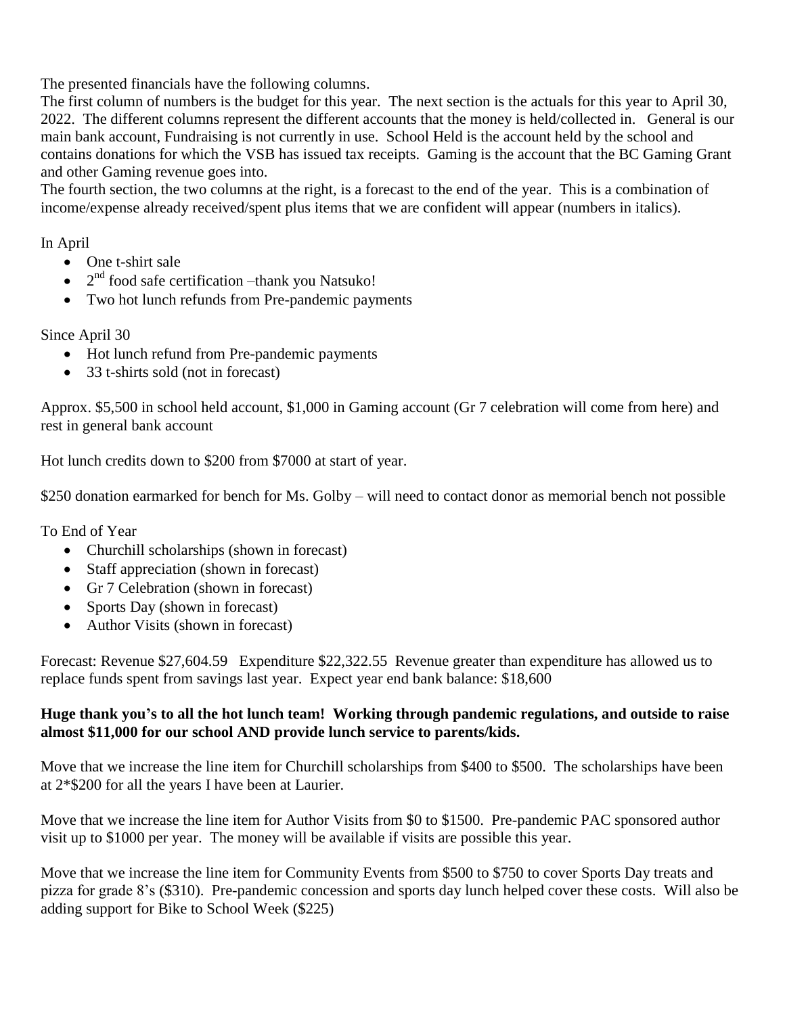The presented financials have the following columns.

The first column of numbers is the budget for this year. The next section is the actuals for this year to April 30, 2022. The different columns represent the different accounts that the money is held/collected in. General is our main bank account, Fundraising is not currently in use. School Held is the account held by the school and contains donations for which the VSB has issued tax receipts. Gaming is the account that the BC Gaming Grant and other Gaming revenue goes into.

The fourth section, the two columns at the right, is a forecast to the end of the year. This is a combination of income/expense already received/spent plus items that we are confident will appear (numbers in italics).

In April

- One t-shirt sale
- $\bullet$   $2<sup>nd</sup>$  food safe certification –thank you Natsuko!
- Two hot lunch refunds from Pre-pandemic payments

Since April 30

- Hot lunch refund from Pre-pandemic payments
- 33 t-shirts sold (not in forecast)

Approx. \$5,500 in school held account, \$1,000 in Gaming account (Gr 7 celebration will come from here) and rest in general bank account

Hot lunch credits down to \$200 from \$7000 at start of year.

\$250 donation earmarked for bench for Ms. Golby – will need to contact donor as memorial bench not possible

To End of Year

- Churchill scholarships (shown in forecast)
- Staff appreciation (shown in forecast)
- Gr 7 Celebration (shown in forecast)
- Sports Day (shown in forecast)
- Author Visits (shown in forecast)

Forecast: Revenue \$27,604.59 Expenditure \$22,322.55 Revenue greater than expenditure has allowed us to replace funds spent from savings last year. Expect year end bank balance: \$18,600

### **Huge thank you's to all the hot lunch team! Working through pandemic regulations, and outside to raise almost \$11,000 for our school AND provide lunch service to parents/kids.**

Move that we increase the line item for Churchill scholarships from \$400 to \$500. The scholarships have been at 2\*\$200 for all the years I have been at Laurier.

Move that we increase the line item for Author Visits from \$0 to \$1500. Pre-pandemic PAC sponsored author visit up to \$1000 per year. The money will be available if visits are possible this year.

Move that we increase the line item for Community Events from \$500 to \$750 to cover Sports Day treats and pizza for grade 8's (\$310). Pre-pandemic concession and sports day lunch helped cover these costs. Will also be adding support for Bike to School Week (\$225)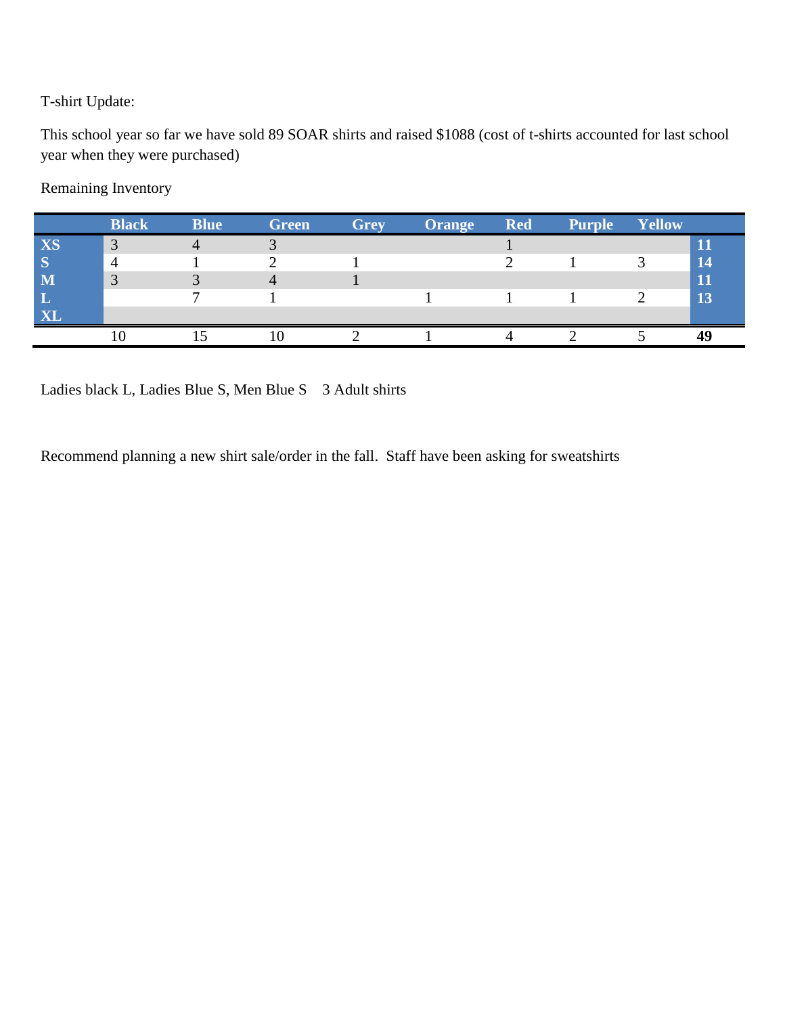# T-shirt Update:

This school year so far we have sold 89 SOAR shirts and raised \$1088 (cost of t-shirts accounted for last school year when they were purchased)

# Remaining Inventory

|    | <b>Black</b> | <b>Blue</b> | <b>Green</b> | <b>Grey</b> | <b>Orange</b> | <b>Red</b> | <b>Purple</b> | Yellow |              |
|----|--------------|-------------|--------------|-------------|---------------|------------|---------------|--------|--------------|
| XS | $\sim$       |             |              |             |               |            |               |        |              |
|    |              |             |              |             |               |            |               |        | 14           |
|    |              |             |              |             |               |            |               |        | $\mathbf{1}$ |
|    |              |             |              |             |               |            |               |        | 13           |
|    |              |             |              |             |               |            |               |        |              |
|    |              |             |              |             |               |            |               |        |              |

Ladies black L, Ladies Blue S, Men Blue S 3 Adult shirts

Recommend planning a new shirt sale/order in the fall. Staff have been asking for sweatshirts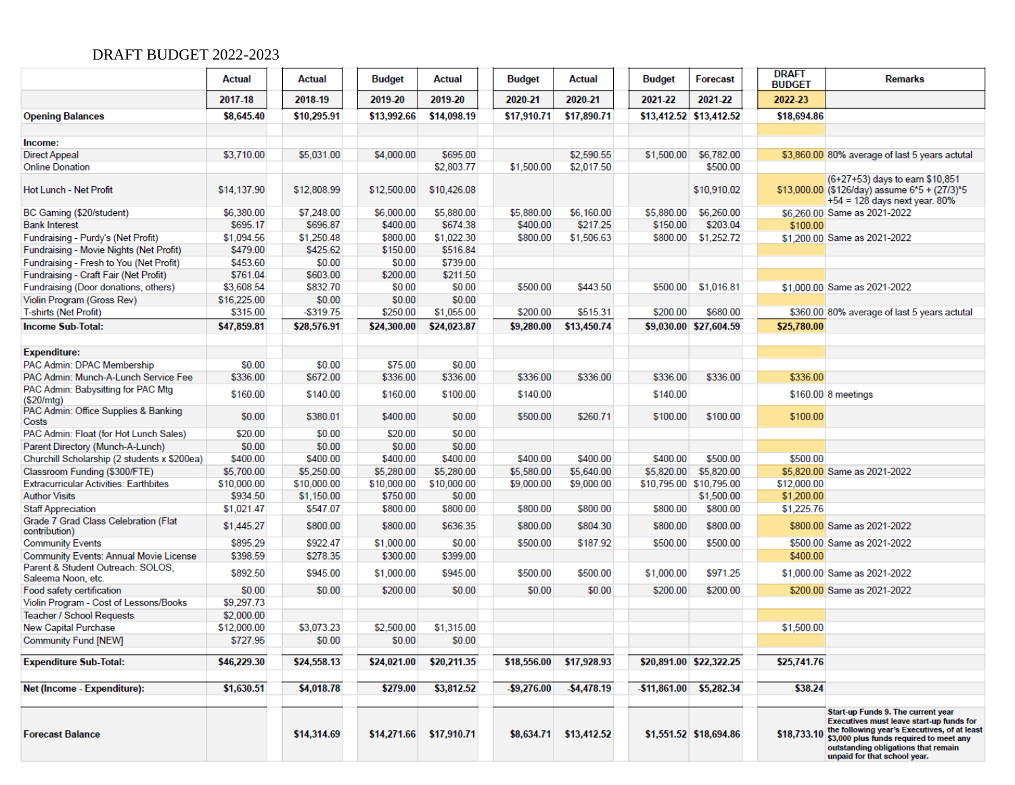# DRAFT BUDGET 2022-2023

|                                                         | Actual      | <b>Actual</b> | <b>Budget</b> | <b>Actual</b>           | <b>Budget</b>  | <b>Actual</b>          | <b>Budget</b> | <b>Forecast</b>            | <b>DRAFT</b><br><b>BUDGET</b> | Remarks                                                                                                                                                                                                                                          |
|---------------------------------------------------------|-------------|---------------|---------------|-------------------------|----------------|------------------------|---------------|----------------------------|-------------------------------|--------------------------------------------------------------------------------------------------------------------------------------------------------------------------------------------------------------------------------------------------|
|                                                         | 2017-18     | 2018-19       | 2019-20       | 2019-20                 | 2020-21        | 2020-21                | 2021-22       | 2021-22                    | 2022-23                       |                                                                                                                                                                                                                                                  |
| <b>Opening Balances</b>                                 | \$8,645.40  | \$10,295.91   | \$13,992.66   | \$14,098.19             | \$17,910.71    | \$17,890.71            |               | \$13,412.52 \$13,412.52    | \$18,694.86                   |                                                                                                                                                                                                                                                  |
| Income:                                                 |             |               |               |                         |                |                        |               |                            |                               |                                                                                                                                                                                                                                                  |
| <b>Direct Appeal</b>                                    | \$3,710.00  | \$5,031.00    | \$4,000.00    | \$695.00                |                | \$2,590.55             | \$1,500.00    | \$6,782.00                 |                               | \$3,860.00 80% average of last 5 years actutal                                                                                                                                                                                                   |
| <b>Online Donation</b>                                  |             |               |               | \$2,803.77              | \$1,500.00     | \$2,017.50             |               | \$500.00                   |                               |                                                                                                                                                                                                                                                  |
| Hot Lunch - Net Profit                                  | \$14,137.90 | \$12,808.99   | \$12,500.00   | \$10,426.08             |                |                        |               | \$10,910.02                |                               | (6+27+53) days to earn \$10,851<br>\$13,000.00 (\$126/day) assume 6*5 + (27/3)*5<br>$+54 = 128$ days next year. 80%                                                                                                                              |
| BC Gaming (\$20/student)                                | \$6,380.00  | \$7,248.00    | \$6,000.00    | \$5,880.00              | \$5,880.00     | \$6,160.00             | \$5,880.00    | \$6,260.00                 |                               | \$6,260.00 Same as 2021-2022                                                                                                                                                                                                                     |
| <b>Bank Interest</b>                                    | \$695.17    | \$696.87      | \$400.00      | \$674.38                | \$400.00       | \$217.25               | \$150.00      | \$203.04                   | \$100.00                      |                                                                                                                                                                                                                                                  |
| Fundraising - Purdy's (Net Profit)                      | \$1,094.56  | \$1,250.48    | \$800.00      | \$1,022.30              | \$800.00       | \$1,506.63             | \$800.00      | \$1,252.72                 |                               | \$1,200.00 Same as 2021-2022                                                                                                                                                                                                                     |
| Fundraising - Movie Nights (Net Profit)                 | \$479.00    | \$425.62      | \$150.00      | \$516.84                |                |                        |               |                            |                               |                                                                                                                                                                                                                                                  |
| Fundraising - Fresh to You (Net Profit)                 | \$453.60    | \$0.00        | \$0.00        | \$739.00                |                |                        |               |                            |                               |                                                                                                                                                                                                                                                  |
| Fundraising - Craft Fair (Net Profit)                   | \$761.04    | \$603.00      | \$200.00      | \$211.50                |                |                        |               |                            |                               |                                                                                                                                                                                                                                                  |
| Fundraising (Door donations, others)                    | \$3,608.54  | \$832.70      | \$0.00        | \$0.00                  | \$500.00       | \$443.50               | \$500.00      | \$1,016.81                 |                               | \$1,000.00 Same as 2021-2022                                                                                                                                                                                                                     |
| Violin Program (Gross Rev)                              | \$16,225.00 | \$0.00        | \$0.00        | \$0.00                  |                |                        |               |                            |                               |                                                                                                                                                                                                                                                  |
| T-shirts (Net Profit)                                   | \$315.00    | $- $319.75$   | \$250.00      | \$1,055.00              | \$200.00       | \$515.31               | \$200.00      | \$680.00                   |                               | \$360.00 80% average of last 5 years actutal                                                                                                                                                                                                     |
| <b>Income Sub-Total:</b>                                | \$47,859.81 | \$28,576.91   | \$24,300.00   | \$24,023.87             | \$9,280.00     | \$13,450.74            |               | \$9,030.00 \$27,604.59     | \$25,780.00                   |                                                                                                                                                                                                                                                  |
| <b>Expenditure:</b>                                     |             |               |               |                         |                |                        |               |                            |                               |                                                                                                                                                                                                                                                  |
| PAC Admin: DPAC Membership                              | \$0.00      | \$0.00        | \$75.00       | \$0.00                  |                |                        |               |                            |                               |                                                                                                                                                                                                                                                  |
| PAC Admin: Munch-A-Lunch Service Fee                    | \$336.00    | \$672.00      | \$336.00      | \$336.00                | \$336.00       | \$336.00               | \$336.00      | \$336.00                   | \$336.00                      |                                                                                                                                                                                                                                                  |
| PAC Admin: Babysitting for PAC Mtg                      |             |               |               |                         |                |                        |               |                            |                               |                                                                                                                                                                                                                                                  |
| (\$20/mtq)                                              | \$160.00    | \$140.00      | \$160.00      | \$100.00                | \$140.00       |                        | \$140.00      |                            |                               | \$160.00 8 meetings                                                                                                                                                                                                                              |
| PAC Admin: Office Supplies & Banking<br>Costs           | \$0.00      | \$380.01      | \$400.00      | \$0.00                  | \$500.00       | \$260.71               | \$100.00      | \$100.00                   | \$100.00                      |                                                                                                                                                                                                                                                  |
| PAC Admin: Float (for Hot Lunch Sales)                  | \$20.00     | \$0.00        | \$20.00       | \$0.00                  |                |                        |               |                            |                               |                                                                                                                                                                                                                                                  |
| Parent Directory (Munch-A-Lunch)                        | \$0.00      | \$0.00        | \$0.00        | \$0.00                  |                |                        |               |                            |                               |                                                                                                                                                                                                                                                  |
| Churchill Scholarship (2 students x \$200ea)            | \$400.00    | \$400.00      | \$400.00      | \$400.00                | \$400.00       | \$400.00               | \$400.00      | \$500.00                   | \$500.00                      |                                                                                                                                                                                                                                                  |
| Classroom Funding (\$300/FTE)                           | \$5,700.00  | \$5,250.00    | \$5,280.00    | \$5,280.00              | \$5,580.00     | \$5,640.00             | \$5,820.00    | \$5,820.00                 |                               | \$5,820.00 Same as 2021-2022                                                                                                                                                                                                                     |
| <b>Extracurricular Activities: Earthbites</b>           | \$10,000.00 | \$10,000.00   | \$10,000.00   | \$10,000.00             | \$9,000.00     | \$9,000.00             |               | \$10,795.00 \$10,795.00    | \$12,000.00                   |                                                                                                                                                                                                                                                  |
| <b>Author Visits</b>                                    | \$934.50    | \$1,150.00    | \$750.00      | \$0.00                  |                |                        |               | \$1,500.00                 | \$1,200.00                    |                                                                                                                                                                                                                                                  |
| <b>Staff Appreciation</b>                               | \$1,021.47  | \$547.07      | \$800.00      | \$800.00                | \$800.00       | \$800.00               | \$800.00      | \$800.00                   | \$1,225.76                    |                                                                                                                                                                                                                                                  |
| Grade 7 Grad Class Celebration (Flat<br>contribution)   | \$1,445.27  | \$800.00      | \$800.00      | \$636.35                | \$800.00       | \$804.30               | \$800.00      | \$800.00                   |                               | \$800.00 Same as 2021-2022                                                                                                                                                                                                                       |
| <b>Community Events</b>                                 | \$895.29    | \$922.47      | \$1,000.00    | \$0.00                  | \$500.00       | \$187.92               | \$500.00      | \$500.00                   |                               | \$500.00 Same as 2021-2022                                                                                                                                                                                                                       |
| Community Events: Annual Movie License                  | \$398.59    | \$278.35      | \$300.00      | \$399.00                |                |                        |               |                            | \$400.00                      |                                                                                                                                                                                                                                                  |
| Parent & Student Outreach: SOLOS,<br>Saleema Noon, etc. | \$892.50    | \$945.00      | \$1,000.00    | \$945.00                | \$500.00       | \$500.00               | \$1,000.00    | \$971.25                   |                               | \$1,000.00 Same as 2021-2022                                                                                                                                                                                                                     |
| Food safety certification                               | \$0.00      | \$0.00        | \$200.00      | \$0.00                  | \$0.00         | \$0.00                 | \$200.00      | \$200.00                   |                               | \$200.00 Same as 2021-2022                                                                                                                                                                                                                       |
| Violin Program - Cost of Lessons/Books                  | \$9,297.73  |               |               |                         |                |                        |               |                            |                               |                                                                                                                                                                                                                                                  |
| Teacher / School Requests                               | \$2,000.00  |               |               |                         |                |                        |               |                            |                               |                                                                                                                                                                                                                                                  |
| <b>New Capital Purchase</b>                             | \$12,000.00 | \$3,073.23    | \$2,500.00    | \$1,315.00              |                |                        |               |                            | \$1,500.00                    |                                                                                                                                                                                                                                                  |
| <b>Community Fund [NEW]</b>                             | \$727.95    | \$0.00        | \$0.00        | \$0.00                  |                |                        |               |                            |                               |                                                                                                                                                                                                                                                  |
| <b>Expenditure Sub-Total:</b>                           | \$46,229.30 | \$24,558.13   | \$24,021.00   | \$20,211.35             | \$18,556.00    | \$17,928.93            |               | \$20,891.00 \$22,322.25    | \$25,741.76                   |                                                                                                                                                                                                                                                  |
| Net (Income - Expenditure):                             | \$1,630.51  | \$4,018.78    | \$279.00      | \$3,812.52              | $-$ \$9,276.00 | $-$ \$4,478.19         |               | $-$ \$11,861.00 \$5,282.34 | \$38.24                       |                                                                                                                                                                                                                                                  |
|                                                         |             |               |               |                         |                |                        |               |                            |                               |                                                                                                                                                                                                                                                  |
| <b>Forecast Balance</b>                                 |             | \$14,314.69   |               | \$14,271.66 \$17,910.71 |                | \$8,634.71 \$13,412.52 |               | \$1,551.52 \$18,694.86     | \$18,733.10                   | Start-up Funds 9. The current year<br>Executives must leave start-up funds for<br>the following year's Executives, of at least<br>\$3,000 plus funds required to meet any<br>outstanding obligations that remain<br>unpaid for that school year. |